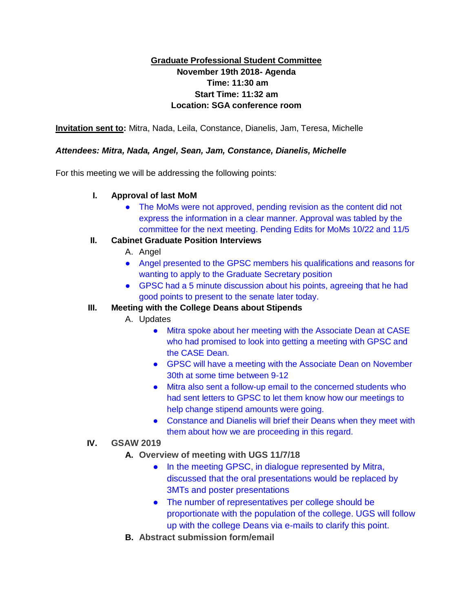## **Graduate Professional Student Committee November 19th 2018- Agenda Time: 11:30 am Start Time: 11:32 am Location: SGA conference room**

**Invitation sent to:** Mitra, Nada, Leila, Constance, Dianelis, Jam, Teresa, Michelle

#### *Attendees: Mitra, Nada, Angel, Sean, Jam, Constance, Dianelis, Michelle*

For this meeting we will be addressing the following points:

#### **I. Approval of last MoM**

• The MoMs were not approved, pending revision as the content did not express the information in a clear manner. Approval was tabled by the committee for the next meeting. Pending Edits for MoMs 10/22 and 11/5

#### **II. Cabinet Graduate Position Interviews**

- A. Angel
- Angel presented to the GPSC members his qualifications and reasons for wanting to apply to the Graduate Secretary position
- GPSC had a 5 minute discussion about his points, agreeing that he had good points to present to the senate later today.

### **III. Meeting with the College Deans about Stipends**

- A. Updates
	- Mitra spoke about her meeting with the Associate Dean at CASE who had promised to look into getting a meeting with GPSC and the CASE Dean.
	- GPSC will have a meeting with the Associate Dean on November 30th at some time between 9-12
	- Mitra also sent a follow-up email to the concerned students who had sent letters to GPSC to let them know how our meetings to help change stipend amounts were going.
	- Constance and Dianelis will brief their Deans when they meet with them about how we are proceeding in this regard.

### **IV. GSAW 2019**

- **A. Overview of meeting with UGS 11/7/18**
	- In the meeting GPSC, in dialogue represented by Mitra, discussed that the oral presentations would be replaced by 3MTs and poster presentations
	- The number of representatives per college should be proportionate with the population of the college. UGS will follow up with the college Deans via e-mails to clarify this point.
- **B. Abstract submission form/email**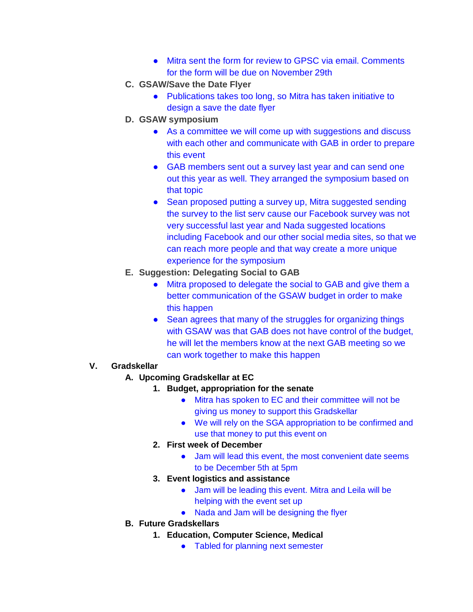- Mitra sent the form for review to GPSC via email. Comments for the form will be due on November 29th
- **C. GSAW/Save the Date Flyer**
	- Publications takes too long, so Mitra has taken initiative to design a save the date flyer
- **D. GSAW symposium**
	- As a committee we will come up with suggestions and discuss with each other and communicate with GAB in order to prepare this event
	- GAB members sent out a survey last year and can send one out this year as well. They arranged the symposium based on that topic
	- Sean proposed putting a survey up, Mitra suggested sending the survey to the list serv cause our Facebook survey was not very successful last year and Nada suggested locations including Facebook and our other social media sites, so that we can reach more people and that way create a more unique experience for the symposium
- **E. Suggestion: Delegating Social to GAB**
	- Mitra proposed to delegate the social to GAB and give them a better communication of the GSAW budget in order to make this happen
	- Sean agrees that many of the struggles for organizing things with GSAW was that GAB does not have control of the budget, he will let the members know at the next GAB meeting so we can work together to make this happen

### **V. Gradskellar**

- **A. Upcoming Gradskellar at EC**
	- **1. Budget, appropriation for the senate**
		- Mitra has spoken to EC and their committee will not be giving us money to support this Gradskellar
		- We will rely on the SGA appropriation to be confirmed and use that money to put this event on
	- **2. First week of December**
		- Jam will lead this event, the most convenient date seems to be December 5th at 5pm
	- **3. Event logistics and assistance**
		- Jam will be leading this event. Mitra and Leila will be helping with the event set up
		- Nada and Jam will be designing the flyer
- **B. Future Gradskellars**
	- **1. Education, Computer Science, Medical**
		- Tabled for planning next semester